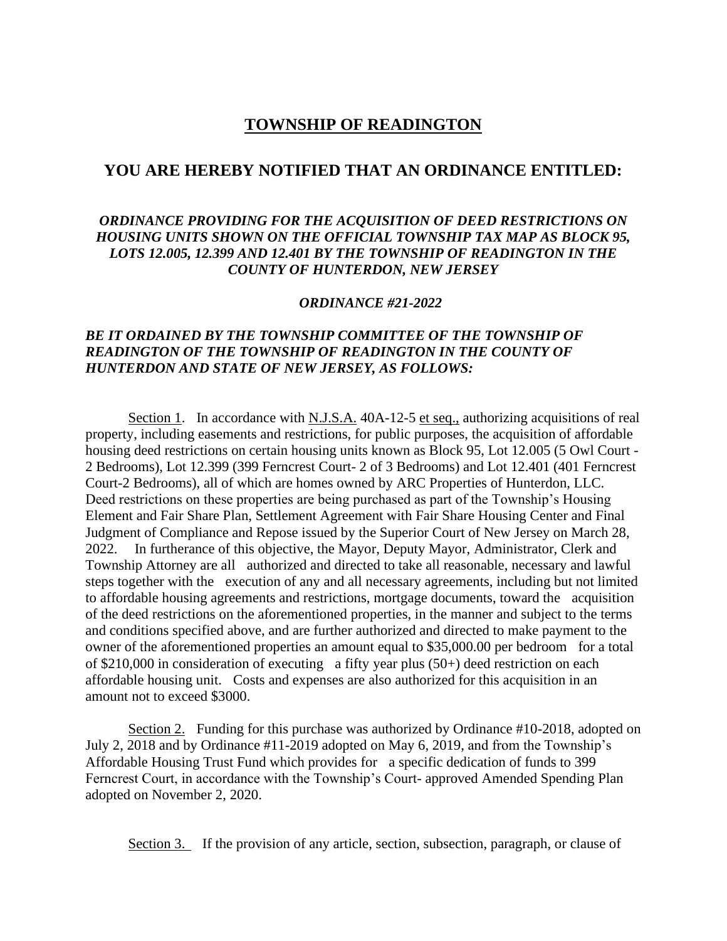# **TOWNSHIP OF READINGTON**

## **YOU ARE HEREBY NOTIFIED THAT AN ORDINANCE ENTITLED:**

## *ORDINANCE PROVIDING FOR THE ACQUISITION OF DEED RESTRICTIONS ON HOUSING UNITS SHOWN ON THE OFFICIAL TOWNSHIP TAX MAP AS BLOCK 95, LOTS 12.005, 12.399 AND 12.401 BY THE TOWNSHIP OF READINGTON IN THE COUNTY OF HUNTERDON, NEW JERSEY*

#### *ORDINANCE #21-2022*

## *BE IT ORDAINED BY THE TOWNSHIP COMMITTEE OF THE TOWNSHIP OF READINGTON OF THE TOWNSHIP OF READINGTON IN THE COUNTY OF HUNTERDON AND STATE OF NEW JERSEY, AS FOLLOWS:*

Section 1. In accordance with N.J.S.A. 40A-12-5 et seq., authorizing acquisitions of real property, including easements and restrictions, for public purposes, the acquisition of affordable housing deed restrictions on certain housing units known as Block 95, Lot 12.005 (5 Owl Court - 2 Bedrooms), Lot 12.399 (399 Ferncrest Court- 2 of 3 Bedrooms) and Lot 12.401 (401 Ferncrest Court-2 Bedrooms), all of which are homes owned by ARC Properties of Hunterdon, LLC. Deed restrictions on these properties are being purchased as part of the Township's Housing Element and Fair Share Plan, Settlement Agreement with Fair Share Housing Center and Final Judgment of Compliance and Repose issued by the Superior Court of New Jersey on March 28, 2022. In furtherance of this objective, the Mayor, Deputy Mayor, Administrator, Clerk and Township Attorney are all authorized and directed to take all reasonable, necessary and lawful steps together with the execution of any and all necessary agreements, including but not limited to affordable housing agreements and restrictions, mortgage documents, toward the acquisition of the deed restrictions on the aforementioned properties, in the manner and subject to the terms and conditions specified above, and are further authorized and directed to make payment to the owner of the aforementioned properties an amount equal to \$35,000.00 per bedroom for a total of \$210,000 in consideration of executing a fifty year plus (50+) deed restriction on each affordable housing unit. Costs and expenses are also authorized for this acquisition in an amount not to exceed \$3000.

Section 2. Funding for this purchase was authorized by Ordinance #10-2018, adopted on July 2, 2018 and by Ordinance #11-2019 adopted on May 6, 2019, and from the Township's Affordable Housing Trust Fund which provides for a specific dedication of funds to 399 Ferncrest Court, in accordance with the Township's Court- approved Amended Spending Plan adopted on November 2, 2020.

Section 3. If the provision of any article, section, subsection, paragraph, or clause of